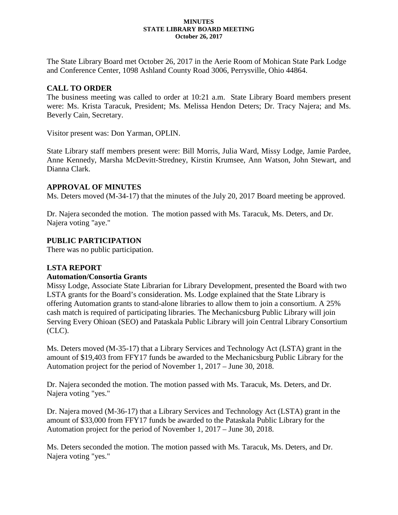#### **MINUTES STATE LIBRARY BOARD MEETING October 26, 2017**

The State Library Board met October 26, 2017 in the Aerie Room of Mohican State Park Lodge and Conference Center, 1098 Ashland County Road 3006, Perrysville, Ohio 44864.

# **CALL TO ORDER**

The business meeting was called to order at 10:21 a.m. State Library Board members present were: Ms. Krista Taracuk, President; Ms. Melissa Hendon Deters; Dr. Tracy Najera; and Ms. Beverly Cain, Secretary.

Visitor present was: Don Yarman, OPLIN.

State Library staff members present were: Bill Morris, Julia Ward, Missy Lodge, Jamie Pardee, Anne Kennedy, Marsha McDevitt-Stredney, Kirstin Krumsee, Ann Watson, John Stewart, and Dianna Clark.

#### **APPROVAL OF MINUTES**

Ms. Deters moved (M-34-17) that the minutes of the July 20, 2017 Board meeting be approved.

Dr. Najera seconded the motion. The motion passed with Ms. Taracuk, Ms. Deters, and Dr. Najera voting "aye."

### **PUBLIC PARTICIPATION**

There was no public participation.

### **LSTA REPORT**

### **Automation/Consortia Grants**

Missy Lodge, Associate State Librarian for Library Development, presented the Board with two LSTA grants for the Board's consideration. Ms. Lodge explained that the State Library is offering Automation grants to stand-alone libraries to allow them to join a consortium. A 25% cash match is required of participating libraries. The Mechanicsburg Public Library will join Serving Every Ohioan (SEO) and Pataskala Public Library will join Central Library Consortium (CLC).

Ms. Deters moved (M-35-17) that a Library Services and Technology Act (LSTA) grant in the amount of \$19,403 from FFY17 funds be awarded to the Mechanicsburg Public Library for the Automation project for the period of November 1, 2017 – June 30, 2018.

Dr. Najera seconded the motion. The motion passed with Ms. Taracuk, Ms. Deters, and Dr. Najera voting "yes."

Dr. Najera moved (M-36-17) that a Library Services and Technology Act (LSTA) grant in the amount of \$33,000 from FFY17 funds be awarded to the Pataskala Public Library for the Automation project for the period of November 1, 2017 – June 30, 2018.

Ms. Deters seconded the motion. The motion passed with Ms. Taracuk, Ms. Deters, and Dr. Najera voting "yes."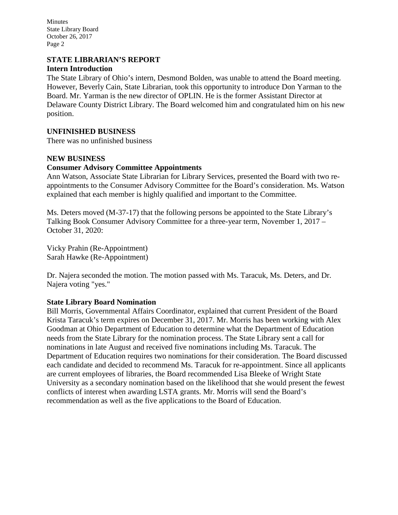Minutes State Library Board October 26, 2017 Page 2

#### **STATE LIBRARIAN'S REPORT Intern Introduction**

The State Library of Ohio's intern, Desmond Bolden, was unable to attend the Board meeting. However, Beverly Cain, State Librarian, took this opportunity to introduce Don Yarman to the Board. Mr. Yarman is the new director of OPLIN. He is the former Assistant Director at Delaware County District Library. The Board welcomed him and congratulated him on his new position.

# **UNFINISHED BUSINESS**

There was no unfinished business

### **NEW BUSINESS**

### **Consumer Advisory Committee Appointments**

Ann Watson, Associate State Librarian for Library Services, presented the Board with two reappointments to the Consumer Advisory Committee for the Board's consideration. Ms. Watson explained that each member is highly qualified and important to the Committee.

Ms. Deters moved (M-37-17) that the following persons be appointed to the State Library's Talking Book Consumer Advisory Committee for a three-year term, November 1, 2017 – October 31, 2020:

Vicky Prahin (Re-Appointment) Sarah Hawke (Re-Appointment)

Dr. Najera seconded the motion. The motion passed with Ms. Taracuk, Ms. Deters, and Dr. Najera voting "yes."

### **State Library Board Nomination**

Bill Morris, Governmental Affairs Coordinator, explained that current President of the Board Krista Taracuk's term expires on December 31, 2017. Mr. Morris has been working with Alex Goodman at Ohio Department of Education to determine what the Department of Education needs from the State Library for the nomination process. The State Library sent a call for nominations in late August and received five nominations including Ms. Taracuk. The Department of Education requires two nominations for their consideration. The Board discussed each candidate and decided to recommend Ms. Taracuk for re-appointment. Since all applicants are current employees of libraries, the Board recommended Lisa Bleeke of Wright State University as a secondary nomination based on the likelihood that she would present the fewest conflicts of interest when awarding LSTA grants. Mr. Morris will send the Board's recommendation as well as the five applications to the Board of Education.